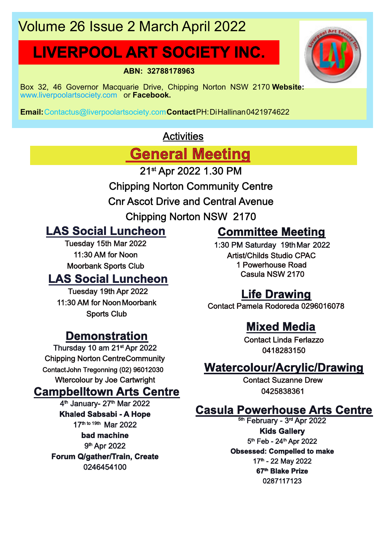# Volume 26 Issue 2 March April 2022

# **LIVERPOOL ART SOCIETY INC.**

**ABN: 32788178963**

Box 32, 46 Governor Macquarie Drive, Chipping Norton NSW 2170 **Website:** www.liverpoolartsociety.com or **Facebook.**

**Email:**Contactus@liverpoolartsociety.com**Contact**PH:DiHallinan0421974622

# **Activities**

**General Meeting**

21st Apr 2022 1.30 PM

- Chipping Norton Community Centre
- Cnr Ascot Drive and Central Avenue
	- Chipping Norton NSW 2170

# **LAS Social Luncheon**

Tuesday 15th Mar 2022 11:30 AM for Noon Moorbank Sports Club

# **LAS Social Luncheon**

Tuesday 19th Apr 2022 11:30 AM for NoonMoorbank Sports Club

# **Demonstration**

Thursday 10 am 21st Apr 2022 Chipping Norton CentreCommunity ContactJohn Tregonning (02) 96012030 Wtercolour by Joe Cartwright

# **Campbelltown Arts Centre**

4<sup>th</sup> January- 27<sup>th</sup> Mar 2022 **Khaled Sabsabi - A Hope** 17th to 19th Mar 2022 **bad machine** 9<sup>th</sup> Apr 2022 **Forum Q/gather/Train, Create** 0246454100

# **Committee Meeting**

1:30 PM Saturday 19thMar 2022 Artist/Childs Studio CPAC 1 Powerhouse Road Casula NSW 2170

# **Life Drawing**

Contact Pamela Rodoreda 0296016078

# **Mixed Media**

Contact Linda Ferlazzo 0418283150

# **Watercolour/Acrylic/Drawing**

Contact Suzanne Drew 0425838361

# **Casula Powerhouse Arts Centre**

<sup>5th</sup> February - 3<sup>rd</sup> Apr 2022 **Kids Gallery** 5<sup>th</sup> Feb - 24<sup>th</sup> Apr 2022 **Obsessed: Compelled to make** 17<sup>th</sup> - 22 May 2022 **67th Blake Prize** 0287117123

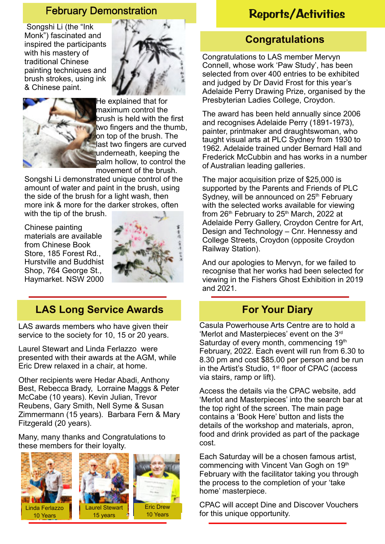Songshi Li (the "Ink Monk") fascinated and inspired the participants with his mastery of traditional Chinese painting techniques and brush strokes, using ink & Chinese paint.





He explained that for maximum control the brush is held with the first two fingers and the thumb, on top of the brush. The last two fingers are curved underneath, keeping the palm hollow, to control the movement of the brush.

Songshi Li demonstrated unique control of the amount of water and paint in the brush, using the side of the brush for a light wash, then more ink & more for the darker strokes, often with the tip of the brush.

Chinese painting materials are available from Chinese Book Store, 185 Forest Rd., Hurstville and Buddhist Shop, 764 George St., Haymarket. NSW 2000



# **LAS Long Service Awards**

LAS awards members who have given their service to the society for 10, 15 or 20 years.

Laurel Stewart and Linda Ferlazzo were presented with their awards at the AGM, while Eric Drew relaxed in a chair, at home.

Other recipients were Hedar Abadi, Anthony Best, Rebecca Brady, Lorraine Maggs & Peter McCabe (10 years). Kevin Julian, Trevor Reubens, Gary Smith, Nell Syme & Susan Zimmermann (15 years). Barbara Fern & Mary Fitzgerald (20 years).

Many, many thanks and Congratulations to these members for their loyalty.



# February Demonstration Reports/Activities

## **Congratulations**

Congratulations to LAS member Mervyn Connell, whose work 'Paw Study', has been selected from over 400 entries to be exhibited and judged by Dr David Frost for this year's Adelaide Perry Drawing Prize, organised by the Presbyterian Ladies College, Croydon.

The award has been held annually since 2006 and recognises Adelaide Perry (1891-1973), painter, printmaker and draughtswoman, who taught visual arts at PLC Sydney from 1930 to 1962. Adelaide trained under Bernard Hall and Frederick McCubbin and has works in a number of Australian leading galleries.

The major acquisition prize of \$25,000 is supported by the Parents and Friends of PLC Sydney, will be announced on 25<sup>th</sup> February with the selected works available for viewing from  $26<sup>th</sup>$  February to  $25<sup>th</sup>$  March, 2022 at Adelaide Perry Gallery, Croydon Centre for Art, Design and Technology – Cnr. Hennessy and College Streets, Croydon (opposite Croydon Railway Station).

And our apologies to Mervyn, for we failed to recognise that her works had been selected for viewing in the Fishers Ghost Exhibition in 2019 and 2021.

## **For Your Diary**

Casula Powerhouse Arts Centre are to hold a 'Merlot and Masterpieces' event on the 3rd Saturday of every month, commencing 19th February, 2022. Each event will run from 6.30 to 8.30 pm and cost \$85.00 per person and be run in the Artist's Studio, 1<sup>st</sup> floor of CPAC (access via stairs, ramp or lift).

Access the details via the CPAC website, add 'Merlot and Masterpieces' into the search bar at the top right of the screen. The main page contains a 'Book Here' button and lists the details of the workshop and materials, apron, food and drink provided as part of the package cost.

Each Saturday will be a chosen famous artist, commencing with Vincent Van Gogh on 19th February with the facilitator taking you through the process to the completion of your 'take home' masterpiece.

CPAC will accept Dine and Discover Vouchers for this unique opportunity.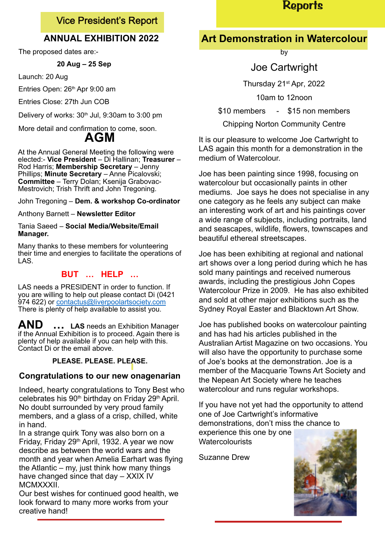## Vice President's Report

## **ANNUAL EXHIBITION 2022**

The proposed dates are:-

#### **20 Aug – 25 Sep**

Launch: 20 Aug

Entries Open: 26<sup>th</sup> Apr 9:00 am

Entries Close: 27th Jun COB

Delivery of works:  $30<sup>th</sup>$  Jul, 9:30am to 3:00 pm

More detail and confirmation to come, soon. **AGM**

At the Annual General Meeting the following were elected:- **Vice President** – Di Hallinan; **Treasurer** – Rod Harris; **Membership Secretary** – Jenny Phillips; **Minute Secretary** – Anne Picalovski; **Committee** – Terry Dolan; Ksenija Grabovac-Mestrovich; Trish Thrift and John Tregoning.

John Tregoning – **Dem. & workshop Co-ordinator**

Anthony Barnett – **Newsletter Editor**

#### Tania Saeed – **Social Media/Website/Email Manager.**

Many thanks to these members for volunteering their time and energies to facilitate the operations of LAS.

### **BUT … HELP …**

LAS needs a PRESIDENT in order to function. If you are willing to help out please contact Di (0421 974 622) or contactus@liverpoolartsociety.com There is plenty of help available to assist you.

**AND … LAS** needs an Exhibition Manager if the Annual Exhibition is to proceed. Again there is plenty of help available if you can help with this. Contact Di or the email above.

#### **PLEASE. PLEASE. PLEASE.**

#### **Congratulations to our new onagenarian**

Indeed, hearty congratulations to Tony Best who celebrates his 90<sup>th</sup> birthday on Friday 29<sup>th</sup> April. No doubt surrounded by very proud family members, and a glass of a crisp, chilled, white in hand.

In a strange quirk Tony was also born on a Friday, Friday 29th April, 1932. A year we now describe as between the world wars and the month and year when Amelia Earhart was flying the Atlantic – my, just think how many things have changed since that day – XXIX IV **MCMXXXII** 

Our best wishes for continued good health, we look forward to many more works from your creative hand!

# **Reports**

# **Art Demonstration in Watercolour**

by

## Joe Cartwright

Thursday 21st Apr, 2022

10am to 12noon

\$10 members - \$15 non members

Chipping Norton Community Centre

It is our pleasure to welcome Joe Cartwright to LAS again this month for a demonstration in the medium of Watercolour.

Joe has been painting since 1998, focusing on watercolour but occasionally paints in other mediums. Joe says he does not specialise in any one category as he feels any subject can make an interesting work of art and his paintings cover a wide range of subjects, including portraits, land and seascapes, wildlife, flowers, townscapes and beautiful ethereal streetscapes.

Joe has been exhibiting at regional and national art shows over a long period during which he has sold many paintings and received numerous awards, including the prestigious John Copes Watercolour Prize in 2009. He has also exhibited and sold at other major exhibitions such as the Sydney Royal Easter and Blacktown Art Show.

Joe has published books on watercolour painting and has had his articles published in the Australian Artist Magazine on two occasions. You will also have the opportunity to purchase some of Joe's books at the demonstration. Joe is a member of the Macquarie Towns Art Society and the Nepean Art Society where he teaches watercolour and runs regular workshops.

If you have not yet had the opportunity to attend one of Joe Cartwright's informative demonstrations, don't miss the chance to experience this one by one **Watercolourists** 

Suzanne Drew

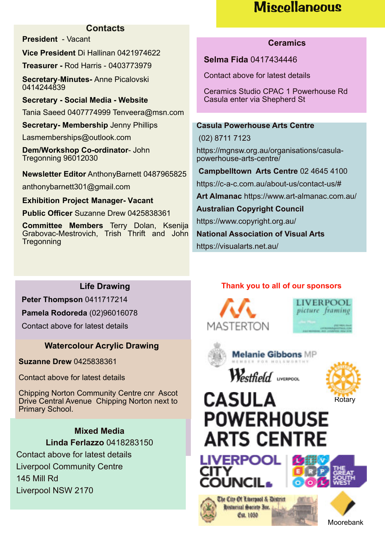# **Miscellaneous**

#### **Contacts**

**President** - Vacant

**Vice President** Di Hallinan 0421974622

**Treasurer -** Rod Harris - 0403773979

**Secretary**-**Minutes-** Anne Picalovski 0414244839

**Secretary - Social Media - Website** Tania Saeed 0407774999 Tenveera@msn.com

**Secretary- Membership** Jenny Phillips

Lasmemberships@outlook.com

**Dem/Workshop Co-ordinator**- John Tregonning 96012030

**Newsletter Editor** AnthonyBarnett 0487965825

anthonybarnett301@gmail.com

**Exhibition Project Manager- Vacant**

**Public Officer** Suzanne Drew 0425838361

**Committee Members** Terry Dolan, Ksenija Grabovac-Mestrovich, Trish Thrift and John **Tregonning** 

#### **Ceramics**

**Selma Fida** 0417434446

Contact above for latest details

Ceramics Studio CPAC 1 Powerhouse Rd Casula enter via Shepherd St

#### **Casula Powerhouse Arts Centre**

(02) 8711 7123

https://mgnsw.org.au/organisations/casulapowerhouse-arts-centre/

**Campbelltown Arts Centre** 02 4645 4100

https://c-a-c.com.au/about-us/contact-us/#

**Art Almanac** https://www.art-almanac.com.au/

**Australian Copyright Council**

https://www.copyright.org.au/

**National Association of Visual Arts**

https://visualarts.net.au/

## **Life Drawing**

**Peter Thompson** 0411717214

**Pamela Rodoreda** (02)96016078

Contact above for latest details

## **Watercolour Acrylic Drawing**

**Suzanne Drew** 0425838361

Contact above for latest details

Chipping Norton Community Centre cnr Ascot Drive Central Avenue Chipping Norton next to Primary School.

> **Mixed Media Linda Ferlazzo** 0418283150

Contact above for latest details Liverpool Community Centre 145 Mill Rd Liverpool NSW 2170

## **Thank you to all of our sponsors**







**Melanie Gibbons MP** 

Westfield uversoon



# **CASULA POWERHOUSE ARTS CENTRE**









Moorebank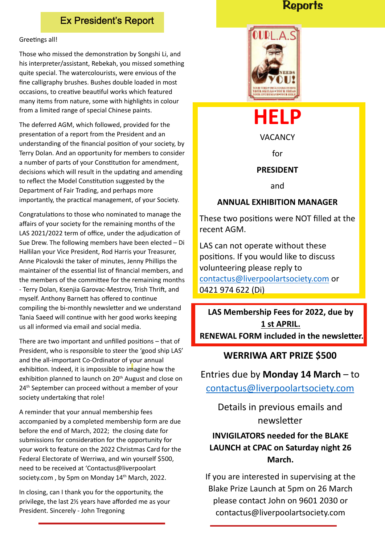## Ex President's Report

#### Greetings all!

Those who missed the demonstration by Songshi Li, and his interpreter/assistant, Rebekah, you missed something quite special. The watercolourists, were envious of the fine calligraphy brushes. Bushes double loaded in most occasions, to creative beautiful works which featured many items from nature, some with highlights in colour from a limited range of special Chinese paints.

The deferred AGM, which followed, provided for the presentation of a report from the President and an understanding of the financial position of your society, by Terry Dolan. And an opportunity for members to consider a number of parts of your Constitution for amendment, decisions which will result in the updating and amending to reflect the Model Constitution suggested by the Department of Fair Trading, and perhaps more importantly, the practical management, of your Society.

Congratulations to those who nominated to manage the affairs of your society for the remaining months of the LAS 2021/2022 term of office, under the adjudication of Sue Drew. The following members have been elected – Di Hallilan your Vice President, Rod Harris your Treasurer, Anne Picalovski the taker of minutes, Jenny Phillips the maintainer of the essential list of financial members, and the members of the committee for the remaining months - Terry Dolan, Ksenjia Garovac-Mestrov, Trish Thrift, and myself. Anthony Barnett has offered to continue compiling the bi-monthly newsletter and we understand Tania Saeed will continue with her good works keeping us all informed via email and social media.

There are two important and unfilled positions  $-$  that of President, who is responsible to steer the 'good ship LAS' and the all-important Co-Ordinator of your annual exhibition. Indeed, it is impossible to imagine how the exhibition planned to launch on 20<sup>th</sup> August and close on 24<sup>th</sup> September can proceed without a member of your society undertaking that role!

A reminder that your annual membership fees accompanied by a completed membership form are due before the end of March, 2022; the closing date for submissions for consideration for the opportunity for your work to feature on the 2022 Christmas Card for the Federal Electorate of Werriwa, and win yourself \$500, need to be received at 'Contactus@liverpoolart society.com, by 5pm on Monday 14<sup>th</sup> March, 2022.

In closing, can I thank you for the opportunity, the privilege, the last 2½ years have afforded me as your President. Sincerely - John Tregoning

## **Reports**





#### **ANNUAL EXHIBITION MANAGER**

These two positions were NOT filled at the recent AGM.

LAS can not operate without these positions. If you would like to discuss volunteering please reply to contactus@liverpoolartsociety.com or 0421 974 622 (Di)

**LAS Membership Fees for 2022, due by 1 st APRIL. RENEWAL FORM included in the newsletter.** 

#### **WERRIWA ART PRIZE \$500**

Entries due by **Monday 14 March** – to

contactus@liverpoolartsociety.com

Details in previous emails and newsletter

## **INVIGILATORS needed for the BLAKE LAUNCH at CPAC on Saturday night 26 March.**

If you are interested in supervising at the Blake Prize Launch at 5pm on 26 March please contact John on 9601 2030 or contactus@liverpoolartsociety.com